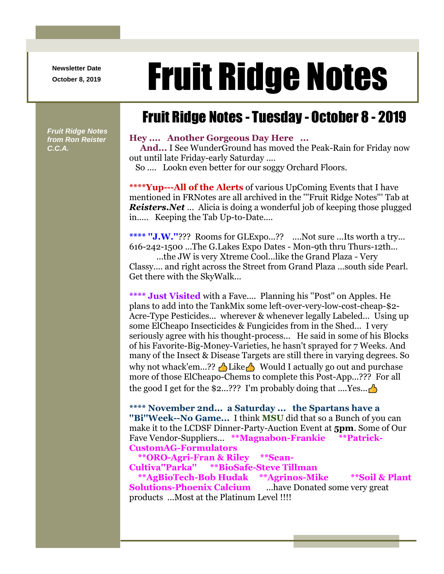**Newsletter Date**

## Newsletter Date **Fruit Ridge Notes**

## Fruit Ridge Notes - Tuesday - October 8 - 2019

*Fruit Ridge Notes from Ron Reister C.C.A.*

## **Hey .... Another Gorgeous Day Here ...**

**And...** I See WunderGround has moved the Peak-Rain for Friday now out until late Friday-early Saturday ....

So .... Lookn even better for our soggy Orchard Floors.

**\*\*\*\*Yup---All of the Alerts** of various UpComing Events that I have mentioned in FRNotes are all archived in the '''Fruit Ridge Notes''' Tab at *Reisters.Net* ... Alicia is doing a wonderful job of keeping those plugged in..... Keeping the Tab Up-to-Date....

**\*\*\*\* ''J.W.''**??? Rooms for GLExpo...?? ....Not sure ...Its worth a try... 616-242-1500 ...The G.Lakes Expo Dates - Mon-9th thru Thurs-12th...

...the JW is very Xtreme Cool...like the Grand Plaza - Very Classy.... and right across the Street from Grand Plaza ...south side Pearl. Get there with the SkyWalk...

**\*\*\*\* Just Visited** with a Fave.... Planning his ''Post'' on Apples. He plans to add into the TankMix some left-over-very-low-cost-cheap-\$2- Acre-Type Pesticides... wherever & whenever legally Labeled... Using up some ElCheapo Insecticides & Fungicides from in the Shed... I very seriously agree with his thought-process... He said in some of his Blocks of his Favorite-Big-Money-Varieties, he hasn't sprayed for 7 Weeks. And many of the Insect & Disease Targets are still there in varying degrees. So why not whack'em...??  $\triangleq$  Like  $\triangleq$  Would I actually go out and purchase more of those ElCheapo-Chems to complete this Post-App...??? For all the good I get for the \$2...??? I'm probably doing that  $\ldots$  Yes...

**\*\*\*\* November 2nd... a Saturday ... the Spartans have a ''Bi''Week--No Game...** I think **MSU** did that so a Bunch of you can make it to the LCDSF Dinner-Party-Auction Event at **5pm**. Some of Our Fave Vendor-Suppliers... **\*\*Magnabon-Frankie \*\*Patrick-CustomAG-Formulators**

```
**ORO-Agri-Fran & Riley **Sean-
Cultiva''Parka'' **BioSafe-Steve Tillman
  **AgBioTech-Bob Hudak **Agrinos-Mike **Soil & Plant 
Solutions-Phoenix Calcium ...have Donated some very great 
products ...Most at the Platinum Level !!!!
```